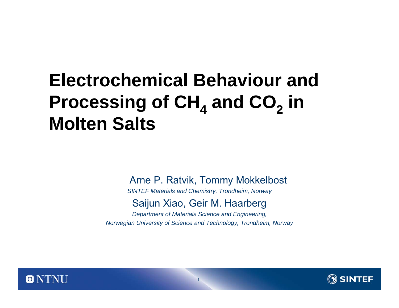# **Electrochemical Behaviour and**  Processing of CH<sub>4</sub> and CO<sub>2</sub> in **Molten Salts**

Arne P. Ratvik, Tommy Mokkelbost

*SINTEF Materials and Chemistry, Trondheim, Norway*

#### Saijun Xiao, Geir M. Haarberg

*Department of Materials Science and Engineering, Norwegian University of Science and Technology, Trondheim, Norway*



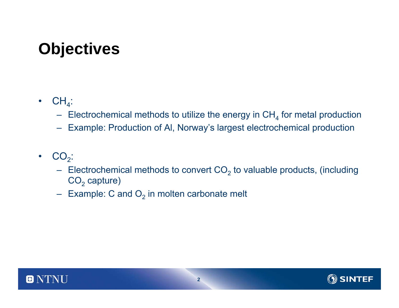## **Objectives**

- $\bullet$  $CH_4$ :
	- $\,$  Electrochemical methods to utilize the energy in CH $_4$  for metal production
	- Example: Production of Al, Norway's largest electrochemical production
- • $CO<sub>2</sub>$ :
	- Electrochemical methods to convert CO $_2$  to valuable products, (including  $\mathsf{CO}_2$  capture)
	- $\,$  Example: C and  $\rm O_{2}$  in molten carbonate melt



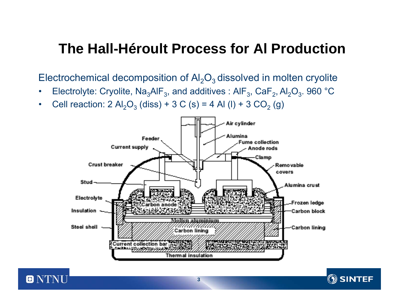#### **The Hall-Héroult Process for Al Production**

Electrochemical decomposition of  $\mathsf{Al}_2\mathsf{O}_3$  dissolved in molten cryolite

- •Electrolyte: Cryolite,  $\text{Na}_3\text{AlF}_3$ , and additives :  $\text{AlF}_3$ ,  $\text{CaF}_2$ ,  $\text{Al}_2\text{O}_3$ . 960 °C
- •Cell reaction: 2  $\text{Al}_2\text{O}_3$  (diss) + 3 C (s) = 4 Al (l) + 3 CO<sub>2</sub> (g)



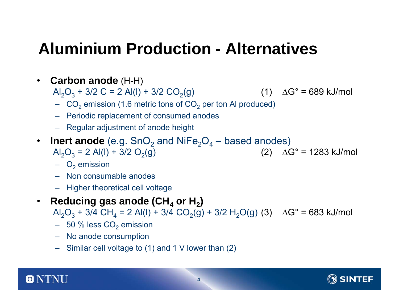# **Aluminium Production - Alternatives**

•**Carbon anode** (H-H)

 $\mathsf{Al}_2\mathsf{O}_3 + 3/2 \mathsf{C}$  = 2 Al(l) + 3/2 CO<sub>2</sub>(g) (1)  $\Delta\mathsf{G}^\circ$  = 689 kJ/mol

- $\,$  CO $_2$  emission (1.6 metric tons of CO $_2$  per ton Al produced)
- Periodic replacement of consumed anodes
- Regular adjustment of anode height
- $\bullet$ • **Inert anode** (e.g. SnO $_2$  and NiFe $_2$ O $_4$  – based anodes)  $\mathsf{Al}_2\mathsf{O}_3 = 2 \; \mathsf{Al}(\mathsf{l}) + 3/2 \; \mathsf{O}_2(\mathsf{g})$  (2)  $\Delta \mathsf{G}^\circ = 1283 \; \mathsf{kJ/mol}$ 
	-

- $\mathrm{O}_2$  emission
- Non consumable anodes
- Higher theoretical cell voltage
- $\bullet$ • Reducing gas anode (CH<sub>4</sub> or H<sub>2</sub>)
	- ${\sf Al}_2{\sf O}_3$  + 3/4 CH $_4$  = 2 Al(l) + 3/4 CO $_2$ (g) + 3/2 H $_2$ O(g) (3)  $\;\;\Delta {\sf G}^\circ$  = 683 kJ/mol
		- $\,$  50  $\%$  less CO $_2$  emission
		- No anode consumption
		- Similar cell voltage to (1) and 1 V lower than (2)



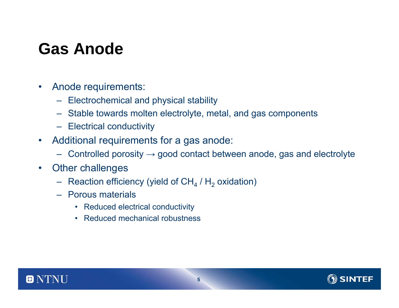## **Gas Anode**

- $\bullet$  Anode requirements:
	- Electrochemical and physical stability
	- Stable towards molten electrolyte, metal, and gas components
	- Electrical conductivity
- $\bullet$  Additional requirements for a gas anode:
	- $\,$  Controlled porosity  $\rightarrow$  good contact between anode, gas and electrolyte
- $\bullet$  Other challenges
	- $-$  Reaction efficiency (yield of CH $_{\rm 4}$  / H $_{\rm 2}$  oxidation)
	- Porous materials
		- Reduced electrical conductivity
		- Reduced mechanical robustness



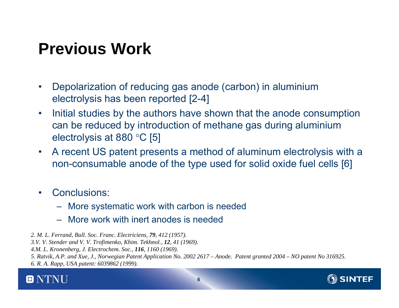## **Previous Work**

- • Depolarization of reducing gas anode (carbon) in aluminium electrolysis has been reported [2-4]
- • Initial studies by the authors have shown that the anode consumption can be reduced by introduction of methane gas during aluminium electrolysis at 880 °C [5]
- $\bullet$  A recent US patent presents a method of aluminum electrolysis with a non-consumable anode of the type used for solid oxide fuel cells [6]
- • Conclusions:
	- More systematic work with carbon is needed
	- More work with inert anodes is needed

*2. M. L. Ferrand, Bull. Soc. Franc. Electriciens, 79, 412 (1957).*

- *3.V. V. Stender and V. V. Trofimenko, Khim. Tekhnol., 12, 41 (1969).*
- *4.M. L. Kronenberg, J. Electrochem. Soc., 116, 1160 (1969).*
- *5. Ratvik, A.P. and Xue, J., Norwegian Patent Application No. 2002 2617 – Anode. Patent granted 2004 – NO patent No 316925.*

*6. R. A. Rapp, USA patent: 6039862 (1999).*



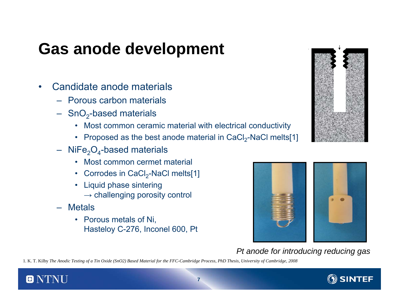## **Gas anode development**

- $\bullet$  Candidate anode materials
	- Porous carbon materials
	- $-$  SnO<sub>2</sub>-based materials
		- Most common ceramic material with electrical conductivity
		- Proposed as the best anode material in CaCl<sub>2</sub>-NaCl melts[1]
	- $\rm{NiFe_{2}O_{4}}$ -based materials
		- Most common cermet material
		- $\,$  Corrodes in CaCl $_2$ -NaCl melts[1]  $\,$
		- Liquid phase sintering  $\rightarrow$  challenging porosity control
	- Metals
		- Porous metals of Ni, Hasteloy C-276, Inconel 600, Pt





*Pt anode for introducing reducing gas*

1. K. T. Kilby *The Anodic Testing of a Tin Oxide (SnO2) Based Material for the FFC-Cambridge Process, PhD Thesis, University of Cambridge, 2008*



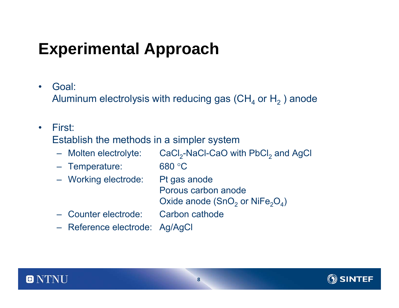# **Experimental Approach**

•Goal:

Aluminum electrolysis with reducing gas (CH $_{\rm 4}$  or H $_{\rm 2}$  ) anode

•First:

Establish the methods in a simpler system

- Molten electrolyte: Molten electrolyte:  $\text{CaCl}_2\text{-NaCl-CaO}$  with PbCl<sub>2</sub> and AgCl
- Temperature: 680 °C
- Working electrode: Pt gas anode

Porous carbon anodeOxide anode (SnO $_2$  or NiFe $_2\mathrm{O}_4$ )

- Counter electrode: Carbon cathode
- Reference electrode: Ag/AgCl



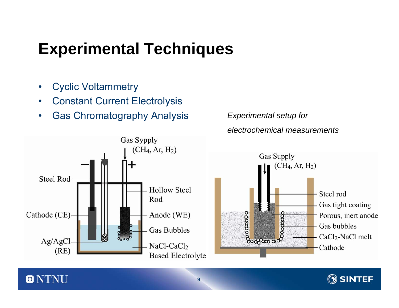# **Experimental Techniques**

•Cyclic Voltammetry

 $\blacksquare$ 

- •Constant Current Electrolysis
- •Gas Chromatography Analysis *Experimental setup for*







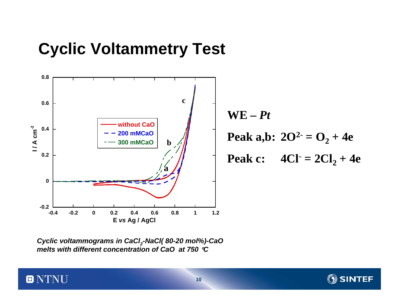### **Cyclic Voltammetry Test**



*Cyclic voltammograms in CaCl2-NaCl( 80-20 mol%)-CaO melts with different concentration of CaO at 750* °*C*

 $\blacksquare$ 

**SINTEF**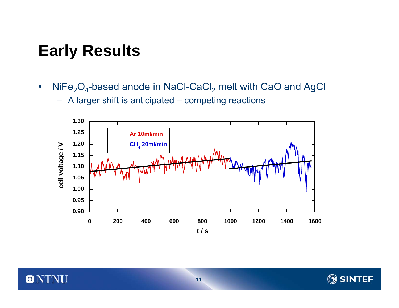## **Early Results**

•NiFe $_{2} \mathrm{O}_{4}$ -based anode in NaCl-CaCl $_{2}$  melt with CaO and AgCl

– A larger shift is anticipated – competing reactions



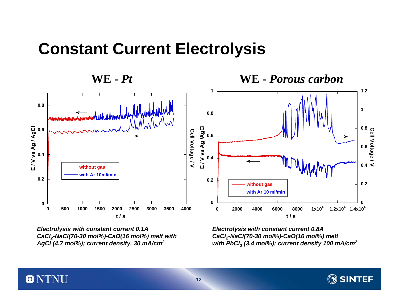#### **Constant Current Electrolysis**

**WE**





*Electrolysis with constant current 0.1A CaCl2-NaCl(70-30 mol%)-CaO(16 mol%) melt with AgCl (4.7 mol%); current density, 30 mA/cm2*

0

NTNI

*Electrolysis with constant current 0.8A CaCl2-NaCl(70-30 mol%)-CaO(16 mol%) melt with PbCl2 (3.4 mol%); current density 100 mA/cm2*



**12**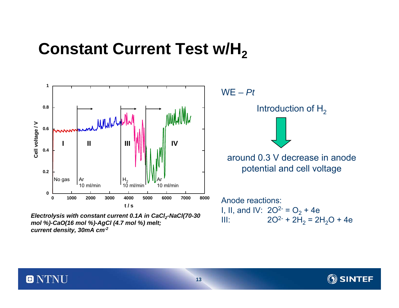### **Constant Current Test w/H<sub>2</sub>**



Electrolysis with constant current 0.1A in CaCl<sub>2</sub>-NaCl(70-30 mol %)-CaO(16 mol %)-AgCl (4.7 mol %) melt; *current density, 30mA cm-2*

 $\blacksquare$ 

WE *– Pt*



I, II, and IV:  $2O^{2}=O_{2}+4e$ III:  $2O^2$  +  $2H_2$  =  $2H_2O$  + 4e

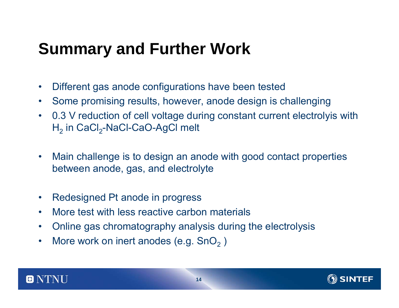## **Summary and Further Work**

- $\bullet$ Different gas anode configurations have been tested
- $\bullet$ Some promising results, however, anode design is challenging
- $\bullet$  0.3 V reduction of cell voltage during constant current electrolyis with  $\mathsf{H}_2$  in CaCl $_2$ -NaCl-CaO-AgCl melt
- • Main challenge is to design an anode with good contact properties between anode, gas, and electrolyte
- $\bullet$ Redesigned Pt anode in progress
- •More test with less reactive carbon materials
- $\bullet$ Online gas chromatography analysis during the electrolysis
- $\bullet$ More work on inert anodes (e.g.  $SnO<sub>2</sub>$  )



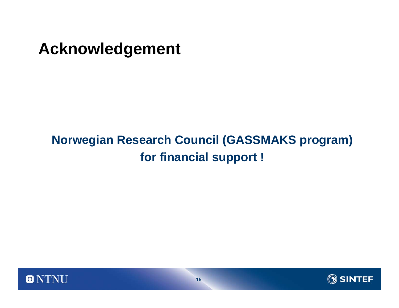#### **Acknowledgement**

#### **Norwegian Research Council (GASSMAKS program) for financial support !**



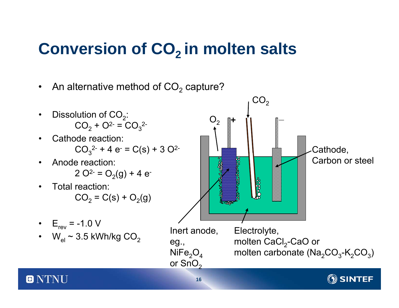# **Conversion of CO<sub>2</sub> in molten salts**

 $\bullet$ An alternative method of CO $_{\rm 2}$  capture?

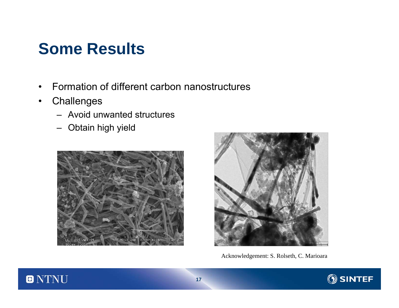### **Some Results**

- •Formation of different carbon nanostructures
- •**Challenges** 
	- Avoid unwanted structures
	- Obtain high yield





Acknowledgement: S. Rolseth, C. Marioara



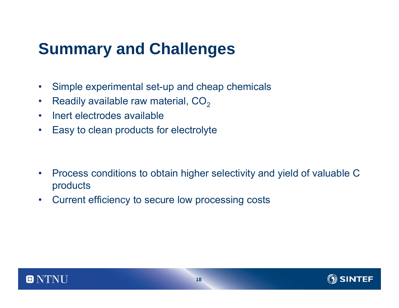## **Summary and Challenges**

- $\bullet$ Simple experimental set-up and cheap chemicals
- •Readily available raw material,  $CO<sub>2</sub>$
- •Inert electrodes available
- $\bullet$ Easy to clean products for electrolyte

- $\bullet$  Process conditions to obtain higher selectivity and yield of valuable C products
- $\bullet$ Current efficiency to secure low processing costs